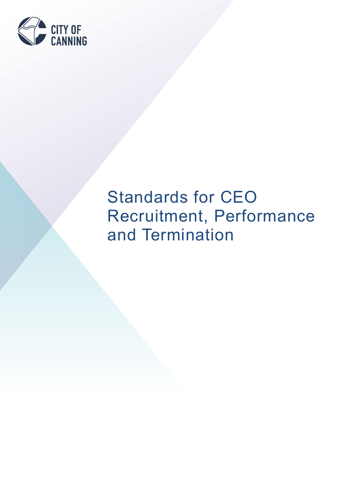

# Standards for CEO Recruitment, Performance and Termination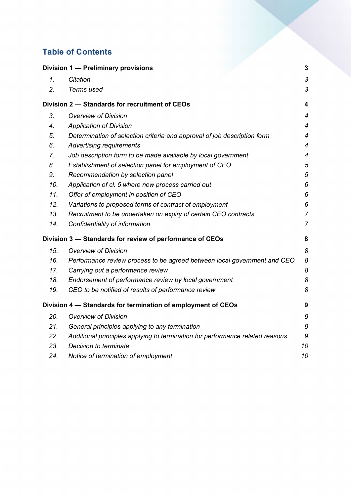# **Table of Contents**

|     | Division 1 - Preliminary provisions                                           | 3                         |
|-----|-------------------------------------------------------------------------------|---------------------------|
| 1.  | Citation                                                                      | $\ensuremath{\mathsf{3}}$ |
| 2.  | Terms used                                                                    | 3                         |
|     | Division 2 - Standards for recruitment of CEOs                                | $\overline{\mathbf{4}}$   |
| 3.  | <b>Overview of Division</b>                                                   | $\overline{4}$            |
| 4.  | <b>Application of Division</b>                                                | $\overline{4}$            |
| 5.  | Determination of selection criteria and approval of job description form      | $\overline{\mathcal{A}}$  |
| 6.  | <b>Advertising requirements</b>                                               | $\overline{4}$            |
| 7.  | Job description form to be made available by local government                 | $\overline{4}$            |
| 8.  | Establishment of selection panel for employment of CEO                        | 5                         |
| 9.  | Recommendation by selection panel                                             | $\overline{5}$            |
| 10. | Application of cl. 5 where new process carried out                            | 6                         |
| 11. | Offer of employment in position of CEO                                        | 6                         |
| 12. | Variations to proposed terms of contract of employment                        | 6                         |
| 13. | Recruitment to be undertaken on expiry of certain CEO contracts               | $\overline{7}$            |
| 14. | Confidentiality of information                                                | $\overline{7}$            |
|     | Division 3 - Standards for review of performance of CEOs                      | 8                         |
| 15. | <b>Overview of Division</b>                                                   | 8                         |
| 16. | Performance review process to be agreed between local government and CEO      | 8                         |
| 17. | Carrying out a performance review                                             | 8                         |
| 18. | Endorsement of performance review by local government                         | 8                         |
| 19. | CEO to be notified of results of performance review                           | 8                         |
|     | Division 4 - Standards for termination of employment of CEOs                  | 9                         |
| 20. | <b>Overview of Division</b>                                                   | 9                         |
| 21. | General principles applying to any termination                                | 9                         |
| 22. | Additional principles applying to termination for performance related reasons | 9                         |
| 23. | Decision to terminate                                                         | 10                        |
| 24. | Notice of termination of employment                                           | 10                        |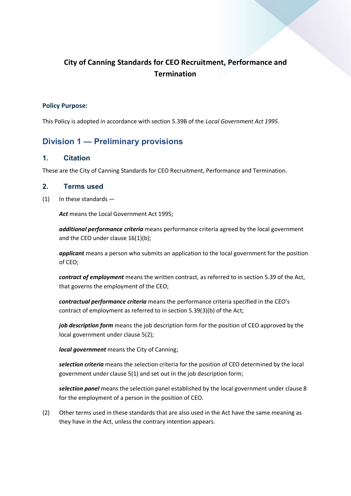# **City of Canning Standards for CEO Recruitment, Performance and Termination**

#### **Policy Purpose:**

This Policy is adopted in accordance with section 5.39B of the *Local Government Act 1995*.

# <span id="page-2-0"></span>**Division 1 — Preliminary provisions**

#### <span id="page-2-1"></span>**1. Citation**

These are the City of Canning Standards for CEO Recruitment, Performance and Termination.

#### <span id="page-2-2"></span>**2. Terms used**

(1) In these standards —

*Act* means the Local Government Act 1995;

*additional performance criteria* means performance criteria agreed by the local government and the CEO under clause 16(1)(b);

*applicant* means a person who submits an application to the local government for the position of CEO;

*contract of employment* means the written contract, as referred to in section 5.39 of the Act, that governs the employment of the CEO;

*contractual performance criteria* means the performance criteria specified in the CEO's contract of employment as referred to in section 5.39(3)(b) of the Act;

*job description form* means the job description form for the position of CEO approved by the local government under clause 5(2);

*local government* means the City of Canning;

*selection criteria* means the selection criteria for the position of CEO determined by the local government under clause 5(1) and set out in the job description form;

*selection panel* means the selection panel established by the local government under clause 8 for the employment of a person in the position of CEO.

(2) Other terms used in these standards that are also used in the Act have the same meaning as they have in the Act, unless the contrary intention appears.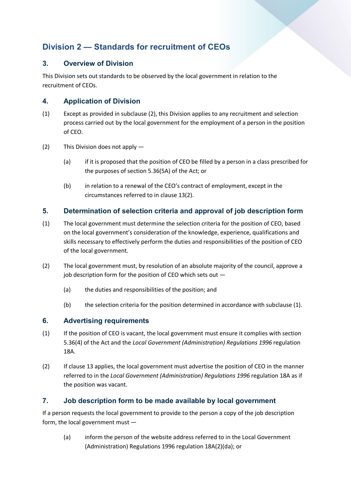# <span id="page-3-0"></span>**Division 2 — Standards for recruitment of CEOs**

## <span id="page-3-1"></span>**3. Overview of Division**

This Division sets out standards to be observed by the local government in relation to the recruitment of CEOs.

## <span id="page-3-2"></span>**4. Application of Division**

- (1) Except as provided in subclause (2), this Division applies to any recruitment and selection process carried out by the local government for the employment of a person in the position of CEO.
- $(2)$  This Division does not apply  $-$ 
	- (a) if it is proposed that the position of CEO be filled by a person in a class prescribed for the purposes of section 5.36(5A) of the Act; or
	- (b) in relation to a renewal of the CEO's contract of employment, except in the circumstances referred to in clause 13(2).

## <span id="page-3-3"></span>**5. Determination of selection criteria and approval of job description form**

- (1) The local government must determine the selection criteria for the position of CEO, based on the local government's consideration of the knowledge, experience, qualifications and skills necessary to effectively perform the duties and responsibilities of the position of CEO of the local government.
- (2) The local government must, by resolution of an absolute majority of the council, approve a job description form for the position of CEO which sets out -
	- (a) the duties and responsibilities of the position; and
	- (b) the selection criteria for the position determined in accordance with subclause (1).

#### <span id="page-3-4"></span>**6. Advertising requirements**

- (1) If the position of CEO is vacant, the local government must ensure it complies with section 5.36(4) of the Act and the *Local Government (Administration) Regulations 1996* regulation 18A.
- (2) If clause 13 applies, the local government must advertise the position of CEO in the manner referred to in the *Local Government (Administration) Regulations 1996* regulation 18A as if the position was vacant.

#### <span id="page-3-5"></span>**7. Job description form to be made available by local government**

If a person requests the local government to provide to the person a copy of the job description form, the local government must —

(a) inform the person of the website address referred to in the Local Government (Administration) Regulations 1996 regulation 18A(2)(da); or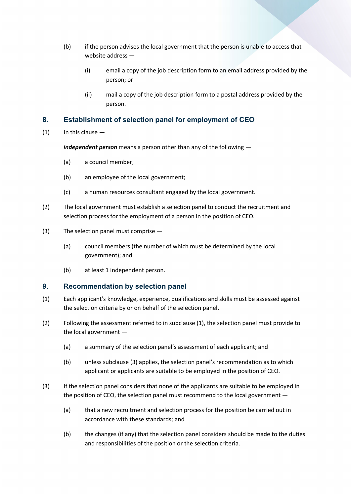- (b) if the person advises the local government that the person is unable to access that website address —
	- (i) email a copy of the job description form to an email address provided by the person; or
	- (ii) mail a copy of the job description form to a postal address provided by the person.

#### <span id="page-4-0"></span>**8. Establishment of selection panel for employment of CEO**

 $(1)$  In this clause  $-$ 

*independent person* means a person other than any of the following —

- (a) a council member;
- (b) an employee of the local government;
- (c) a human resources consultant engaged by the local government.
- (2) The local government must establish a selection panel to conduct the recruitment and selection process for the employment of a person in the position of CEO.
- (3) The selection panel must comprise
	- (a) council members (the number of which must be determined by the local government); and
	- (b) at least 1 independent person.

#### <span id="page-4-1"></span>**9. Recommendation by selection panel**

- (1) Each applicant's knowledge, experience, qualifications and skills must be assessed against the selection criteria by or on behalf of the selection panel.
- (2) Following the assessment referred to in subclause (1), the selection panel must provide to the local government —
	- (a) a summary of the selection panel's assessment of each applicant; and
	- (b) unless subclause (3) applies, the selection panel's recommendation as to which applicant or applicants are suitable to be employed in the position of CEO.
- (3) If the selection panel considers that none of the applicants are suitable to be employed in the position of CEO, the selection panel must recommend to the local government —
	- (a) that a new recruitment and selection process for the position be carried out in accordance with these standards; and
	- (b) the changes (if any) that the selection panel considers should be made to the duties and responsibilities of the position or the selection criteria.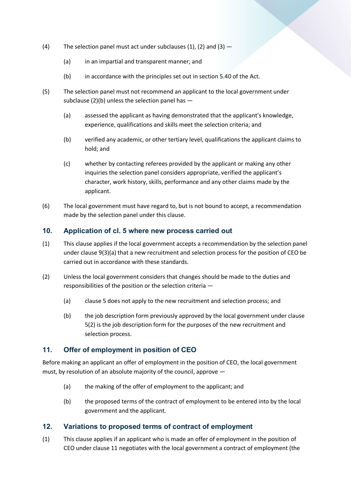- (4) The selection panel must act under subclauses  $(1)$ ,  $(2)$  and  $(3)$  -
	- (a) in an impartial and transparent manner; and
	- (b) in accordance with the principles set out in section 5.40 of the Act.
- (5) The selection panel must not recommend an applicant to the local government under subclause (2)(b) unless the selection panel has —
	- (a) assessed the applicant as having demonstrated that the applicant's knowledge, experience, qualifications and skills meet the selection criteria; and
	- (b) verified any academic, or other tertiary level, qualifications the applicant claims to hold; and
	- (c) whether by contacting referees provided by the applicant or making any other inquiries the selection panel considers appropriate, verified the applicant's character, work history, skills, performance and any other claims made by the applicant.
- (6) The local government must have regard to, but is not bound to accept, a recommendation made by the selection panel under this clause.

#### <span id="page-5-0"></span>**10. Application of cl. 5 where new process carried out**

- (1) This clause applies if the local government accepts a recommendation by the selection panel under clause 9(3)(a) that a new recruitment and selection process for the position of CEO be carried out in accordance with these standards.
- (2) Unless the local government considers that changes should be made to the duties and responsibilities of the position or the selection criteria —
	- (a) clause 5 does not apply to the new recruitment and selection process; and
	- (b) the job description form previously approved by the local government under clause 5(2) is the job description form for the purposes of the new recruitment and selection process.

#### <span id="page-5-1"></span>**11. Offer of employment in position of CEO**

Before making an applicant an offer of employment in the position of CEO, the local government must, by resolution of an absolute majority of the council, approve —

- (a) the making of the offer of employment to the applicant; and
- (b) the proposed terms of the contract of employment to be entered into by the local government and the applicant.

#### <span id="page-5-2"></span>**12. Variations to proposed terms of contract of employment**

(1) This clause applies if an applicant who is made an offer of employment in the position of CEO under clause 11 negotiates with the local government a contract of employment (the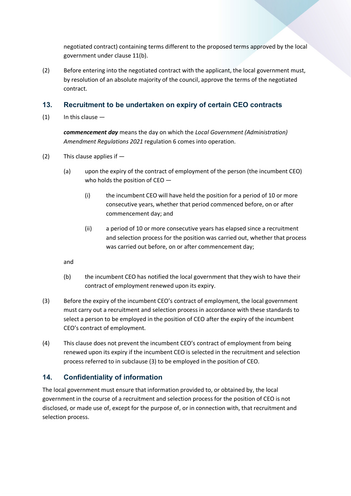negotiated contract) containing terms different to the proposed terms approved by the local government under clause 11(b).

(2) Before entering into the negotiated contract with the applicant, the local government must, by resolution of an absolute majority of the council, approve the terms of the negotiated contract.

#### <span id="page-6-0"></span>**13. Recruitment to be undertaken on expiry of certain CEO contracts**

 $(1)$  In this clause  $-$ 

*commencement day* means the day on which the *Local Government (Administration) Amendment Regulations 2021* regulation 6 comes into operation.

- (2) This clause applies if
	- (a) upon the expiry of the contract of employment of the person (the incumbent CEO) who holds the position of CEO —
		- (i) the incumbent CEO will have held the position for a period of 10 or more consecutive years, whether that period commenced before, on or after commencement day; and
		- (ii) a period of 10 or more consecutive years has elapsed since a recruitment and selection process for the position was carried out, whether that process was carried out before, on or after commencement day;

and

- (b) the incumbent CEO has notified the local government that they wish to have their contract of employment renewed upon its expiry.
- (3) Before the expiry of the incumbent CEO's contract of employment, the local government must carry out a recruitment and selection process in accordance with these standards to select a person to be employed in the position of CEO after the expiry of the incumbent CEO's contract of employment.
- (4) This clause does not prevent the incumbent CEO's contract of employment from being renewed upon its expiry if the incumbent CEO is selected in the recruitment and selection process referred to in subclause (3) to be employed in the position of CEO.

#### <span id="page-6-1"></span>**14. Confidentiality of information**

The local government must ensure that information provided to, or obtained by, the local government in the course of a recruitment and selection process for the position of CEO is not disclosed, or made use of, except for the purpose of, or in connection with, that recruitment and selection process.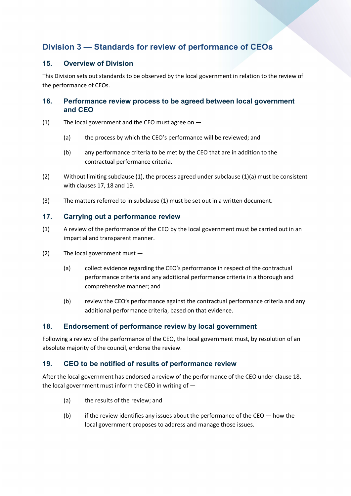# <span id="page-7-0"></span>**Division 3 — Standards for review of performance of CEOs**

#### <span id="page-7-1"></span>**15. Overview of Division**

This Division sets out standards to be observed by the local government in relation to the review of the performance of CEOs.

#### <span id="page-7-2"></span>**16. Performance review process to be agreed between local government and CEO**

- (1) The local government and the CEO must agree on
	- (a) the process by which the CEO's performance will be reviewed; and
	- (b) any performance criteria to be met by the CEO that are in addition to the contractual performance criteria.
- (2) Without limiting subclause (1), the process agreed under subclause (1)(a) must be consistent with clauses 17, 18 and 19.
- (3) The matters referred to in subclause (1) must be set out in a written document.

#### <span id="page-7-3"></span>**17. Carrying out a performance review**

- (1) A review of the performance of the CEO by the local government must be carried out in an impartial and transparent manner.
- (2) The local government must
	- (a) collect evidence regarding the CEO's performance in respect of the contractual performance criteria and any additional performance criteria in a thorough and comprehensive manner; and
	- (b) review the CEO's performance against the contractual performance criteria and any additional performance criteria, based on that evidence.

## <span id="page-7-4"></span>**18. Endorsement of performance review by local government**

Following a review of the performance of the CEO, the local government must, by resolution of an absolute majority of the council, endorse the review.

## <span id="page-7-5"></span>**19. CEO to be notified of results of performance review**

After the local government has endorsed a review of the performance of the CEO under clause 18, the local government must inform the CEO in writing of —

- (a) the results of the review; and
- (b) if the review identifies any issues about the performance of the CEO  $-$  how the local government proposes to address and manage those issues.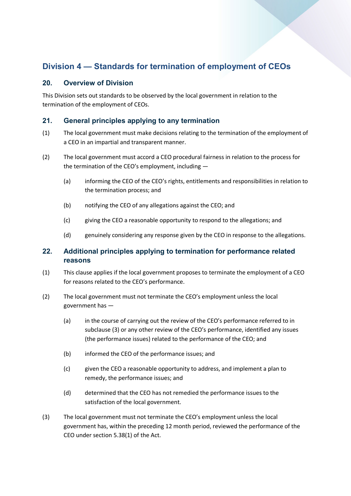# <span id="page-8-0"></span>**Division 4 — Standards for termination of employment of CEOs**

#### <span id="page-8-1"></span>**20. Overview of Division**

This Division sets out standards to be observed by the local government in relation to the termination of the employment of CEOs.

#### <span id="page-8-2"></span>**21. General principles applying to any termination**

- (1) The local government must make decisions relating to the termination of the employment of a CEO in an impartial and transparent manner.
- (2) The local government must accord a CEO procedural fairness in relation to the process for the termination of the CEO's employment, including —
	- (a) informing the CEO of the CEO's rights, entitlements and responsibilities in relation to the termination process; and
	- (b) notifying the CEO of any allegations against the CEO; and
	- (c) giving the CEO a reasonable opportunity to respond to the allegations; and
	- (d) genuinely considering any response given by the CEO in response to the allegations.

#### <span id="page-8-3"></span>**22. Additional principles applying to termination for performance related reasons**

- (1) This clause applies if the local government proposes to terminate the employment of a CEO for reasons related to the CEO's performance.
- (2) The local government must not terminate the CEO's employment unless the local government has —
	- (a) in the course of carrying out the review of the CEO's performance referred to in subclause (3) or any other review of the CEO's performance, identified any issues (the performance issues) related to the performance of the CEO; and
	- (b) informed the CEO of the performance issues; and
	- (c) given the CEO a reasonable opportunity to address, and implement a plan to remedy, the performance issues; and
	- (d) determined that the CEO has not remedied the performance issues to the satisfaction of the local government.
- (3) The local government must not terminate the CEO's employment unless the local government has, within the preceding 12 month period, reviewed the performance of the CEO under section 5.38(1) of the Act.